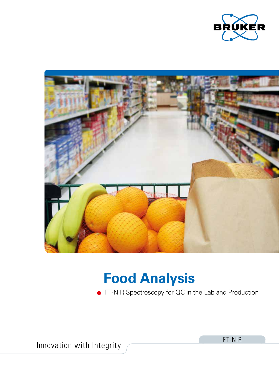



# **Food Analysis**

FT-NIR Spectroscopy for QC in the Lab and Production

Innovation with Integrity **FT-NIR**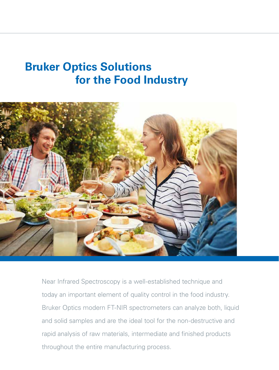### **Bruker Optics Solutions for the Food Industry**



Near Infrared Spectroscopy is a well-established technique and today an important element of quality control in the food industry. Bruker Optics modern FT-NIR spectrometers can analyze both, liquid and solid samples and are the ideal tool for the non-destructive and rapid analysis of raw materials, intermediate and finished products throughout the entire manufacturing process.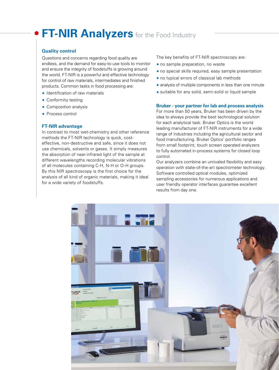### **FT-NIR Analyzers** for the Food Industry

### **Quality control**

Questions and concerns regarding food quality are endless, and the demand for easy-to-use tools to monitor and ensure the integrity of foodstuffs is growing around the world. FT-NIR is a powerful and effective technology for control of raw materials, intermediates and finished products. Common tasks in food processing are:

- **IDENTIFICATION OF TAW MATERIALS**
- **Conformity testing**
- **Composition analysis**
- **Process control**

### **FT-NIR advantage**

In contrast to most wet-chemistry and other reference methods the FT-NIR technology is quick, costeffective, non-destructive and safe, since it does not use chemicals, solvents or gases. It simply measures the absorption of near-infrared light of the sample at different wavelengths recording molecular vibrations of all molecules containing C-H, N-H or O-H groups. By this NIR spectroscopy is the first choice for the analysis of all kind of organic materials, making it ideal for a wide variety of foodstuffs.

The key benefits of FT-NIR spectroscopy are:

- no sample preparation, no waste
- no special skills required, easy sample presentation
- no typical errors of classical lab methods
- **analysis of multiple components in less than one minute**
- suitable for any solid, semi-solid or liquid sample

#### **Bruker - your partner for lab and process analysis**

For more than 50 years, Bruker has been driven by the idea to always provide the best technological solution for each analytical task. Bruker Optics is the world leading manufacturer of FT-NIR instruments for a wide range of industries including the agricultural sector and food manufacturing. Bruker Optics' portfolio ranges from small footprint, touch screen operated analyzers to fully automated in-process systems for closed loop control.

Our analyzers combine an unrivaled flexibility and easy operation with state-of-the-art spectrometer technology. Software controlled optical modules, optimized sampling accessories for numerous applications and user friendly operator interfaces guarantee excellent results from day one.

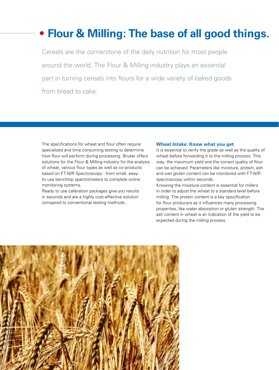### **Flour & Milling: The base of all good things.**

Cereals are the cornerstone of the daily nutrition for most people around the world. The Flour & Milling industry plays an essential part in turning cereals into flours for a wide variety of baked goods from bread to cake.

The specifications for wheat and flour often require specialized and time consuming testing to determine how flour will perform during processing. Bruker offers solutions for the Flour & Milling industry for the analysis of wheat, various flour types as well as co-products based on FT-NIR Spectroscopy - from small, easyto-use benchtop spectrometers to complete online monitoring systems.

Ready to use calibration packages give you results in seconds and are a highly cost-effective solution compared to conventional testing methods.

#### **Wheat Intake: Know what you get**

It is essential to verify the grade as well as the quality of wheat before forwarding it to the milling process. This way, the maximum yield and the correct quality of flour can be achieved. Parameters like moisture, protein, ash and wet gluten content can be monitored with FT-NIR spectroscopy within seconds.

Knowing the moisture content is essential for millers in order to adjust the wheat to a standard level before milling. The protein content is a key specification for flour producers as it influences many processing properties, like water absorption or gluten strength. The ash content in wheat is an indication of the yield to be expected during the milling process.

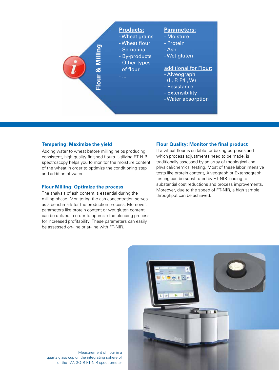

### **Tempering: Maximize the yield**

Adding water to wheat before milling helps producing consistent, high quality finished flours. Utilizing FT-NIR spectroscopy helps you to monitor the moisture content of the wheat in order to optimize the conditioning step and addition of water.

### **Flour Milling: Optimize the process**

The analysis of ash content is essential during the milling phase. Monitoring the ash concentration serves as a benchmark for the production process. Moreover, parameters like protein content or wet gluten content can be utilized in order to optimize the blending process for increased profitability. These parameters can easily be assessed on-line or at-line with FT-NIR.

### **Flour Quality: Monitor the final product**

If a wheat flour is suitable for baking purposes and which process adjustments need to be made, is traditionally assessed by an array of rheological and physical/chemical testing. Most of these labor intensive tests like protein content, Alveograph or Extensograph testing can be substituted by FT-NIR leading to substantial cost reductions and process improvements. Moreover, due to the speed of FT-NIR, a high sample throughput can be achieved.



Measurement of flour in a quartz glass cup on the integrating sphere of of the TANGO-R FT-NIR spectrometer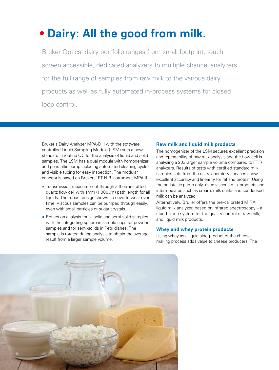### **Dairy: All the good from milk.**

Bruker Optics' dairy portfolio ranges from small footprint, touch screen accessible, dedicated analyzers to multiple channel analyzers for the full range of samples from raw milk to the various dairy products as well as fully automated in-process systems for closed loop control.

Bruker's Dairy Analyzer MPA-D II with the software controlled Liquid Sampling Module (LSM) sets a new standard in routine QC for the analysis of liquid and solid samples. The LSM has a dual module with homogenizer and peristaltic pump including automated cleaning cycles and visible tubing for easy inspection. The modular concept is based on Brukers' FT-NIR instrument MPA II:

- **Transmission measurement through a thermostatted** quartz flow cell with 1mm (1,000μm) path length for all liquids. The robust design shows no cuvette wear over time. Viscous samples can be pumped through easily, even with small particles or sugar crystals.
- Reflection analysis for all solid and semi-solid samples with the integrating sphere in sample cups for powder samples and for semi-solids in Petri dishes. The sample is rotated during analysis to obtain the average result from a larger sample volume.

### **Raw milk and liquid milk products**

The homogenizer of the LSM secures excellent precision and repeatability of raw milk analysis and the flow cell is analyzing a 20x larger sample volume compared to FTIR analyzers. Results of tests with certified standard milk samples sets from the dairy laboratory services show excellent accuracy and linearity for fat and protein. Using the peristaltic pump only, even viscous milk products and intermediates such as cream, milk drinks and condensed milk can be analyzed.

Alternatively, Bruker offers the pre-calibrated MIRA liquid milk analyzer, based on infrared spectroscopy – a stand-alone system for the quality control of raw milk, and liquid milk products.

### **Whey and whey protein products**

Using whey as a liquid side-product of the cheese making process adds value to cheese producers. The

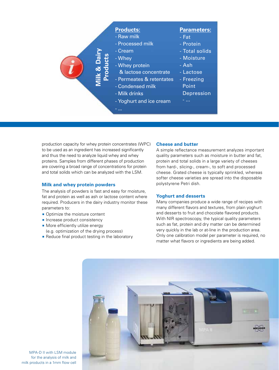

production capacity for whey protein concentrates (WPC) to be used as an ingredient has increased significantly and thus the need to analyze liquid whey and whey proteins. Samples from different phases of production are covering a broad range of concentrations for protein and total solids which can be analyzed with the LSM.

### **Milk and whey protein powders**

The analysis of powders is fast and easy for moisture, fat and protein as well as ash or lactose content where required. Producers in the dairy industry monitor these parameters to:

- Optimize the moisture content
- $\blacksquare$  Increase product consistency
- **More efficiently utilize energy** (e.g. optimization of the drying process)
- Reduce final product testing in the laboratory

### **Cheese and butter**

A simple reflectance measurement analyzes important quality parameters such as moisture in butter and fat, protein and total solids in a large variety of cheeses from hard-, slicing-, cream-, to soft and processed cheese. Grated cheese is typically sprinkled, whereas softer cheese varieties are spread into the disposable polystyrene Petri dish.

### **Yoghurt and desserts**

Many companies produce a wide range of recipes with many different flavors and textures, from plain yoghurt and desserts to fruit and chocolate flavored products. With NIR spectroscopy, the typical quality parameters such as fat, protein and dry matter can be determined very quickly in the lab or at-line in the production area. Only one calibration model per parameter is required, no matter what flavors or ingredients are being added.



MPA-D II with LSM module for the analysis of milk and milk products in a 1mm flow cell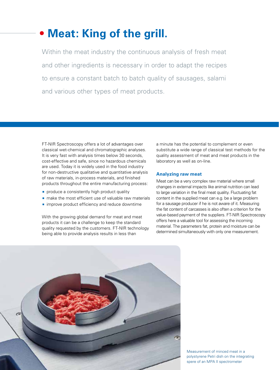### **Meat: King of the grill.**

Within the meat industry the continuous analysis of fresh meat and other ingredients is necessary in order to adapt the recipes to ensure a constant batch to batch quality of sausages, salami and various other types of meat products.

FT-NIR Spectroscopy offers a lot of advantages over classical wet-chemical and chromatographic analyses. It is very fast with analysis times below 30 seconds, cost-effective and safe, since no hazardous chemicals are used. Today it is widely used in the food industry for non-destructive qualitative and quantitative analysis of raw materials, in-process materials, and finished products throughout the entire manufacturing process:

- **produce a consistently high product quality**
- **n** make the most efficient use of valuable raw materials
- **n** improve product efficiency and reduce downtime

With the growing global demand for meat and meat products it can be a challenge to keep the standard quality requested by the customers. FT-NIR technology being able to provide analysis results in less than

a minute has the potential to complement or even substitute a wide range of classical test methods for the quality assessment of meat and meat products in the laboratory as well as on-line.

### **Analyzing raw meat**

Meat can be a very complex raw material where small changes in external impacts like animal nutrition can lead to large variation in the final meat quality. Fluctuating fat content in the supplied meat can e.g. be a large problem for a sausage producer if he is not aware of it. Measuring the fat content of carcasses is also often a criterion for the value-based payment of the suppliers. FT-NIR Spectroscopy offers here a valuable tool for assessing the incoming material. The parameters fat, protein and moisture can be determined simultaneously with only one measurement.



Measurement of minced meat in a polystyrene Petri dish on the integrating spere of an MPA II spectrometer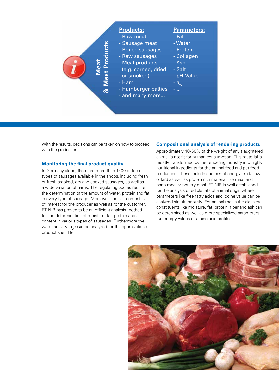

With the results, decisions can be taken on how to proceed with the production.

### **Monitoring the final product quality**

In Germany alone, there are more than 1500 different types of sausages available in the shops, including fresh or fresh smoked, dry and cooked sausages, as well as a wide variation of hams. The regulating bodies require the determination of the amount of water, protein and fat in every type of sausage. Moreover, the salt content is of interest for the producer as well as for the customer. FT-NIR has proven to be an efficient analysis method for the determination of moisture, fat, protein and salt content in various types of sausages. Furthermore the water activity ( $a_{w}$ ) can be analyzed for the optimization of product shelf life.

### **Compositional analysis of rendering products**

Approximately 40-50% of the weight of any slaughtered animal is not fit for human consumption. This material is mostly transformed by the rendering industry into highly nutritional ingredients for the animal feed and pet food production. These include sources of energy like tallow or lard as well as protein rich material like meat and bone meal or poultry meal. FT-NIR is well established for the analysis of edible fats of animal origin where parameters like free fatty acids and iodine value can be analyzed simultaneously. For animal meals the classical constituents like moisture, fat, protein, fiber and ash can be determined as well as more specialized parameters like energy values or amino acid profiles.

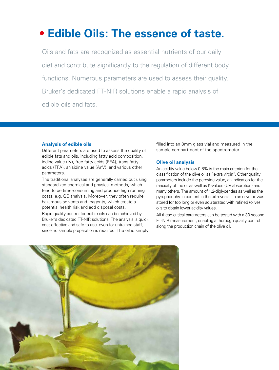### **Edible Oils: The essence of taste.**

Oils and fats are recognized as essential nutrients of our daily diet and contribute significantly to the regulation of different body functions. Numerous parameters are used to assess their quality. Bruker's dedicated FT-NIR solutions enable a rapid analysis of edible oils and fats.

#### **Analysis of edible oils**

Different parameters are used to assess the quality of edible fats and oils, including fatty acid composition, iodine value (IV), free fatty acids (FFA), trans fatty acids (TFA), anisidine value (AnV), and various other parameters.

The traditional analyses are generally carried out using standardized chemical and physical methods, which tend to be time-consuming and produce high running costs, e.g. GC analysis. Moreover, they often require hazardous solvents and reagents, which create a potential health risk and add disposal costs.

Rapid quality control for edible oils can be achieved by Bruker's dedicated FT-NIR solutions. The analysis is quick, cost-effective and safe to use, even for untrained staff, since no sample preparation is required. The oil is simply

filled into an 8mm glass vial and measured in the sample compartment of the spectrometer.

### **Olive oil analysis**

An acidity value below 0.8% is the main criterion for the classification of the olive oil as "extra virgin". Other quality parameters include the peroxide value, an indication for the rancidity of the oil as well as K-values (UV absorption) and many others. The amount of 1,2-diglycerides as well as the pyropheophytin content in the oil reveals if a an olive oil was stored for too long or even adulterated with refined (olive) oils to obtain lower acidity values.

All these critical parameters can be tested with a 30 second FT-NIR measurement, enabling a thorough quality control along the production chain of the olive oil.

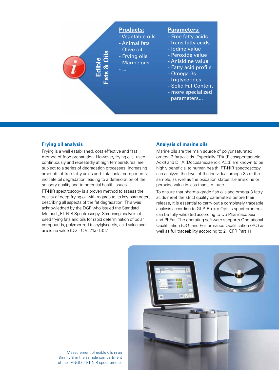

### **Frying oil analysis**

Frying is a well established, cost effective and fast method of food preparation. However, frying oils, used continuously and repeatedly at high temperatures, are subject to a series of degradation processes. Increasing amounts of free fatty acids and total polar components indicate oil degradation leading to a deterioration of the sensory quality and to potential health issues.

FT-NIR spectroscopy is a proven method to assess the quality of deep-frying oil with regards to its key parameters describing all aspects of the fat degradation. This was acknowledged by the DGF who issued the Standard Method "FT-NIR Spectroscopy: Screening analysis of used frying fats and oils for rapid determination of polar compounds, polymerized triacylglycerols, acid value and anisidine value [DGF C VI 21a (13)]."

### **Analysis of marine oils**

Marine oils are the main source of polyunsaturated omega-3 fatty acids. Especially EPA (Eicosapentaenoic Acid) and DHA (Docosahexaenoic Acid) are known to be highly beneficial to human health. FT-NIR spectroscopy can analyze the level of the individual omega-3s of the sample, as well as the oxidation status like anisidine or peroxide value in less than a minute.

To ensure that pharma-grade fish oils and omega-3 fatty acids meet the strict quality parameters before their release, it is essential to carry out a completely traceable analysis according to GLP. Bruker Optics spectrometers can be fully validated according to US Pharmacopeia and PhEur. The operating software supports Operational Qualification (OQ) and Performance Qualification (PQ) as well as full traceability according to 21 CFR Part 11.



Measurement of edible oils in an 8mm vial in the sample compartment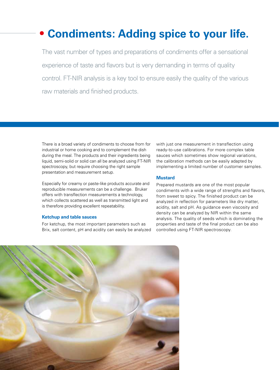### **Condiments: Adding spice to your life.**

The vast number of types and preparations of condiments offer a sensational experience of taste and flavors but is very demanding in terms of quality control. FT-NIR analysis is a key tool to ensure easily the quality of the various raw materials and finished products.

There is a broad variety of condiments to choose from for industrial or home cooking and to complement the dish during the meal. The products and their ingredients being liquid, semi-solid or solid can all be analyzed using FT-NIR spectroscopy, but require choosing the right sample presentation and measurement setup.

Especially for creamy or paste-like products accurate and reproducible measurements can be a challenge. Bruker offers with transflection measurements a technology, which collects scattered as well as transmitted light and is therefore providing excellent repeatability.

### **Ketchup and table sauces**

For ketchup, the most important parameters such as Brix, salt content, pH and acidity can easily be analyzed with just one measurement in transflection using ready-to-use calibrations. For more complex table sauces which sometimes show regional variations, the calibration methods can be easily adapted by implementing a limited number of customer samples.

#### **Mustard**

Prepared mustards are one of the most popular condiments with a wide range of strengths and flavors, from sweet to spicy. The finished product can be analyzed in reflection for parameters like dry matter, acidity, salt and pH. As guidance even viscosity and density can be analyzed by NIR within the same analysis. The quality of seeds which is dominating the properties and taste of the final product can be also controlled using FT-NIR spectroscopy.

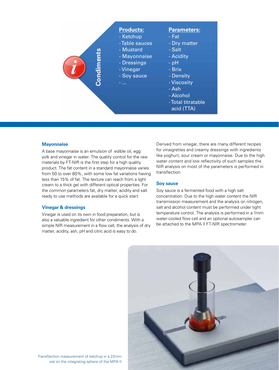

#### **Mayonnaise**

A base mayonnaise is an emulsion of edible oil, egg yolk and vinegar in water. The quality control for the raw materials by FT-NIR is the first step for a high quality product. The fat content in a standard mayonnaise varies from 50 to over 80%, with some low fat variations having less than 15% of fat. The texture can reach from a light cream to a thick gel with different optical properties. For the common parameters fat, dry matter, acidity and salt ready to use methods are available for a quick start.

### **Vinegar & dressings**

Vinegar is used on its own in food preparation, but is also a valuable ingredient for other condiments. With a simple NIR measurement in a flow cell, the analysis of dry matter, acidity, ash, pH and citric acid is easy to do.

Derived from vinegar, there are many different recipes for vinaigrettes and creamy dressings with ingredients like yoghurt, sour cream or mayonnaise. Due to the high water content and low reflectivity of such samples the NIR analysis on most of the parameters is performed in transflection.

### **Soy sauce**

Soy sauce is a fermented food with a high salt concentration. Due to the high water content the NIR transmission measurement and the analysis on nitrogen, salt and alcohol content must be performed under tight temperature control. The analysis is performed in a 1mm water-cooled flow cell and an optional autosampler can be attached to the MPA II FT-NIR spectrometer.



Transflection measurement of ketchup in a 22mm vial on the integrating sphere of the MPA II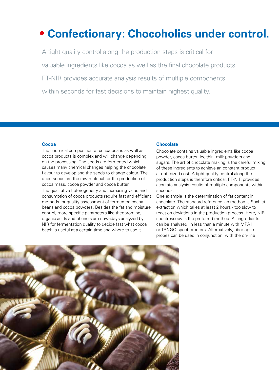### **Confectionary: Chocoholics under control.**

A tight quality control along the production steps is critical for valuable ingredients like cocoa as well as the final chocolate products. FT-NIR provides accurate analysis results of multiple components within seconds for fast decisions to maintain highest quality.

### **Cocoa**

The chemical composition of cocoa beans as well as cocoa products is complex and will change depending on the processing. The seeds are fermented which causes many chemical changes helping the chocolate flavour to develop and the seeds to change colour. The dried seeds are the raw material for the production of cocoa mass, cocoa powder and cocoa butter.

The qualitative heterogeneity and increasing value and consumption of cocoa products require fast and efficient methods for quality assessment of fermented cocoa beans and cocoa powders. Besides the fat and moisture control, more specific parameters like theobromine, organic acids and phenols are nowadays analyzed by NIR for fermentation quality to decide fast what cocoa batch is useful at a certain time and where to use it.

### **Chocolate**

Chocolate contains valuable ingredients like cocoa powder, cocoa butter, lecithin, milk powders and sugars. The art of chocolate making is the careful mixing of these ingredients to achieve an constant product at optimized cost. A tight quality control along the production steps is therefore critical. FT-NIR provides accurate analysis results of multiple components within seconds.

One example is the determination of fat content in chocolate. The standard reference lab method is Soxhlet extraction which takes at least 2 hours - too slow to react on deviations in the production process. Here, NIR spectroscopy is the preferred method. All ingredients can be analyzed in less than a minute with MPA II or TANGO spectrometers. Alternatively, fiber optic probes can be used in conjunction with the on-line

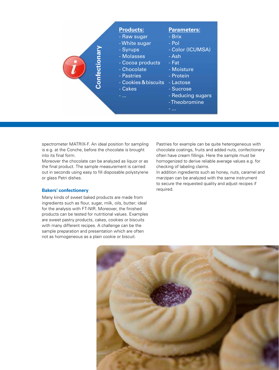

spectrometer MATRIX-F. An ideal position for sampling is e.g. at the Conche, before the chocolate is brought into its final form.

Moreover the chocolate can be analyzed as liquor or as the final product. The sample measurement is carried out in seconds using easy to fill disposable polystyrene or glass Petri dishes.

### **Bakers' confectionery**

Many kinds of sweet baked products are made from ingredients such as flour, sugar, milk, oils, butter; ideal for the analysis with FT-NIR. Moreover, the finished products can be tested for nutritional values. Examples are sweet pastry products, cakes, cookies or biscuits with many different recipes. A challenge can be the sample preparation and presentation which are often not as homogeneous as a plain cookie or biscuit.

Pastries for example can be quite heterogeneous with chocolate coatings, fruits and added nuts, confectionery often have cream fillings. Here the sample must be homogenized to derive reliable average values e.g. for checking of labeling claims.

In addition ingredients such as honey, nuts, caramel and marzipan can be analyzed with the same instrument to secure the requested quality and adjust recipes if required.

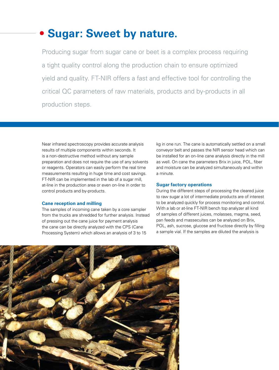### **Sugar: Sweet by nature.**

Producing sugar from sugar cane or beet is a complex process requiring a tight quality control along the production chain to ensure optimized yield and quality. FT-NIR offers a fast and effective tool for controlling the critical QC parameters of raw materials, products and by-products in all production steps.

Near infrared spectroscopy provides accurate analysis results of multiple components within seconds. It is a non-destructive method without any sample preparation and does not require the use of any solvents or reagents. Operators can easily perform the real time measurements resulting in huge time and cost savings. FT-NIR can be implemented in the lab of a sugar mill, at-line in the production area or even on-line in order to control products and by-products.

### **Cane reception and milling**

The samples of incoming cane taken by a core sampler from the trucks are shredded for further analysis. Instead of pressing out the cane juice for payment analysis the cane can be directly analyzed with the CPS (Cane Processing System) which allows an analysis of 3 to 15

kg in one run. The cane is automatically settled on a small conveyor belt and passes the NIR sensor head which can be installed for an on-line cane analysis directly in the mill as well. On cane the parameters Brix in juice, POL, fiber and moisture can be analyzed simultaneously and within a minute.

### **Sugar factory operations**

During the different steps of processing the cleared juice to raw sugar a lot of intermediate products are of interest to be analyzed quickly for process monitoring and control. With a lab or at-line FT-NIR bench top analyzer all kind of samples of different juices, molasses, magma, seed, pan feeds and massecuites can be analyzed on Brix, POL, ash, sucrose, glucose and fructose directly by filling a sample vial. If the samples are diluted the analysis is

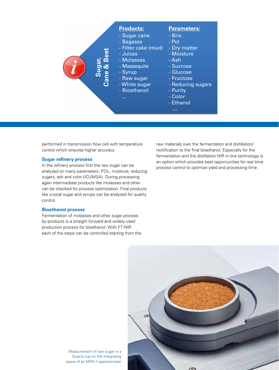

performed in transmission flow cell with temperature control which ensures higher accuracy.

### **Sugar refinery process**

In the refinery process first the raw sugar can be analyzed on many parameters: POL, moisture, reducing sugars, ash and color (ICUMSA). During processing again intermediate products like molasses and other can be checked for process optimization. Final products like crystal sugar and syrups can be analyzed for quality control.

### **Bioethanol process**

Fermentation of molasses and other sugar process by-products is a straight forward and widely used production process for bioethanol. With FT-NIR each of the steps can be controlled starting from the raw materials over the fermentation and distillation/ rectification to the final bioethanol. Especially for the fermentation and the distillation NIR in-line technology is an option which provides best opportunities for real time process control to optimize yield and processing time.



Measurement of raw sugar in a Quartz cup on the integrating spere of an MPA II spectrometer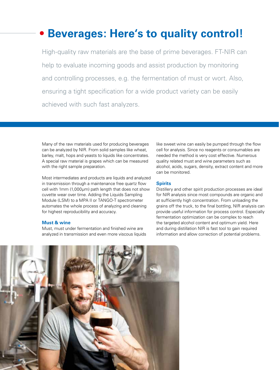### **Beverages: Here's to quality control!**

High-quality raw materials are the base of prime beverages. FT-NIR can help to evaluate incoming goods and assist production by monitoring and controlling processes, e.g. the fermentation of must or wort. Also, ensuring a tight specification for a wide product variety can be easily achieved with such fast analyzers.

Many of the raw materials used for producing beverages can be analyzed by NIR. From solid samples like wheat, barley, malt, hops and yeasts to liquids like concentrates. A special raw material is grapes which can be measured with the right sample preparation.

Most intermediates and products are liquids and analyzed in transmission through a maintenance free quartz flow cell with 1mm (1,000μm) path length that does not show cuvette wear over time. Adding the Liquids Sampling Module (LSM) to a MPA II or TANGO-T spectrometer automates the whole process of analyzing and cleaning for highest reproducibility and accuracy.

### **Must & wine**

Must, must under fermentation and finished wine are analyzed in transmission and even more viscous liquids like sweet wine can easily be pumped through the flow cell for analysis. Since no reagents or consumables are needed the method is very cost effective. Numerous quality related must and wine parameters such as alcohol, acids, sugars, density, extract content and more can be monitored.

### **Spirits**

Distillery and other spirit production processes are ideal for NIR analysis since most compounds are organic and at sufficiently high concentration. From unloading the grains off the truck, to the final bottling, NIR analysis can provide useful information for process control. Especially fermentation optimization can be complex to reach the targeted alcohol content and optimum yield. Here and during distillation NIR is fast tool to gain required information and allow correction of potential problems.

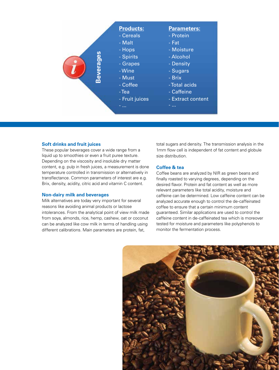

### **Soft drinks and fruit juices**

These popular beverages cover a wide range from a liquid up to smoothies or even a fruit puree texture. Depending on the viscosity and insoluble dry matter content, e.g. pulp in fresh juices, a measurement is done temperature controlled in transmission or alternatively in transflectance. Common parameters of interest are e.g. Brix, density, acidity, citric acid and vitamin C content.

#### **Non-dairy milk and beverages**

Milk alternatives are today very important for several reasons like avoiding animal products or lactose intolerances. From the analytical point of view milk made from soya, almonds, rice, hemp, cashew, oat or coconut can be analyzed like cow milk in terms of handling using different calibrations. Main parameters are protein, fat,

total sugars and density. The transmission analysis in the 1mm flow cell is independent of fat content and globule size distribution.

### **Coffee & tea**

Coffee beans are analyzed by NIR as green beans and finally roasted to varying degrees, depending on the desired flavor. Protein and fat content as well as more relevant parameters like total acidity, moisture and caffeine can be determined. Low caffeine content can be analyzed accurate enough to control the de-caffeinated coffee to ensure that a certain minimum content guaranteed. Similar applications are used to control the caffeine content in de-caffeinated tea which is moreover tested for moisture and parameters like polyphenols to monitor the fermentation process.

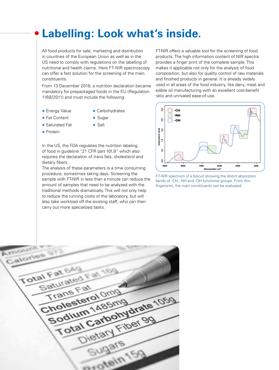### **Labelling: Look what's inside.**

All food products for sale, marketing and distribution in countries of the European Union as well as in the US need to comply with regulations on the labelling of nutritional and health claims. Here FT-NIR spectroscopy can offer a fast solution for the screening of the main constituents.

From 13 December 2016, a nutrition declaration became mandatory for prepackaged foods in the EU (Regulation 1169/2011) and must include the following:

- **Energy Value Carbohydrates** 
	-
- Fat Content Sugar
- Saturated Fat **Balt**
- **Protein**
- 

In the US, the FDA regulates the nutrition labeling of food in guideline "21 CFR part 101.9" which also requires the declaration of trans fats, cholesterol and dietary fibers.

The analysis of these parameters is a time consuming procedure, sometimes taking days. Screening the sample with FT-NIR in less than a minute can reduce the amount of samples that need to be analyzed with the traditional methods dramatically. This will not only help to reduce the running costs of the laboratory, but will also take workload off the existing staff, who can then carry out more specialized tasks.

FT-NIR offers a valuable tool for the screening of food products. The high information content of NIR spectra provides a finger print of the complete sample. This makes it applicable not only for the analysis of food composition, but also for quality control of raw materials and finished products in general. It is already widely used in all areas of the food industry, like dairy, meat and edible oil manufacturing with an excellent cost-benefit ratio and unrivaled ease-of-use.



FT-NIR spectrum of a biscuit showing the distict absorption bands of -CH, -NH and -OH functional groups. From this fingerprint, the main constituents can be evaluated.

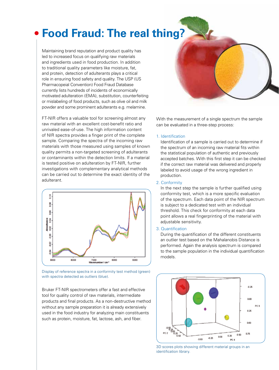### **Food Fraud: The real thing?**

Maintaining brand reputation and product quality has led to increased focus on qualifying raw materials and ingredients used in food production. In addition to traditional quality parameters like moisture, fat, and protein, detection of adulterants plays a critical role in ensuring food safety and quality. The USP (US Pharmacopeial Convention) Food Fraud Database currently lists hundreds of incidents of economically motivated adulteration (EMA), substitution, counterfeiting or mislabeling of food products, such as olive oil and milk powder and some prominent adulterants e.g. melamine.

FT-NIR offers a valuable tool for screening almost any raw material with an excellent cost-benefit ratio and unrivaled ease-of-use. The high information content of NIR spectra provides a finger print of the complete sample. Comparing the spectra of the incoming raw materials with those measured using samples of known quality permits a non-targeted screening of adulterants or contaminants within the detection limits. If a material is tested positive on adulteration by FT-NIR, further investigations with complementary analytical methods can be carried out to determine the exact identity of the adulterant.





Bruker FT-NIR spectrometers offer a fast and effective tool for quality control of raw materials, intermediate products and final products. As a non-destructive method without any sample preparation it is already extensively used in the food industry for analyzing main constituents such as protein, moisture, fat, lactose, ash, and fiber.



With the measurement of a single spectrum the sample can be evaluated in a three-step process:

#### 1. Identification

Identification of a sample is carried out to determine if the spectrum of an incoming raw material fits within the statistical population of authentic and previously accepted batches. With this first step it can be checked if the correct raw material was delivered and properly labeled to avoid usage of the wrong ingredient in production.

### 2. Conformity

In the next step the sample is further qualified using conformity test, which is a more specific evaluation of the spectrum. Each data point of the NIR spectrum is subject to a dedicated test with an individual threshold. This check for conformity at each data point allows a real fingerprinting of the material with adjustable sensitivity.

#### 3. Quantification

During the quantification of the different constituents an outlier test based on the Mahalanobis Distance is performed. Again the analysis spectrum is compared to the sample population in the individual quantification models.



3D scores plots showing different material groups in an identification library.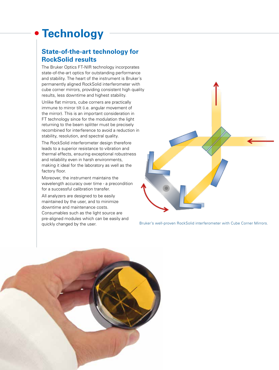## **Technology**

### **State-of-the-art technology for RockSolid results**

The Bruker Optics FT-NIR technology incorporates state-of-the-art optics for outstanding performance and stability. The heart of the instrument is Bruker´s permanently aligned RockSolid interferometer with cube corner mirrors, providing consistent high quality results, less downtime and highest stability.

Unlike flat mirrors, cube corners are practically immune to mirror tilt (i.e. angular movement of the mirror). This is an important consideration in FT technology since for the modulation the light returning to the beam splitter must be precisely recombined for interference to avoid a reduction in stability, resolution, and spectral quality.

The RockSolid interferometer design therefore leads to a superior resistance to vibration and thermal effects, ensuring exceptional robustness and reliability even in harsh environments, making it ideal for the laboratory as well as the factory floor.

Moreover, the instrument maintains the wavelength accuracy over time - a precondition for a successful calibration transfer.

All analyzers are designed to be easily maintained by the user, and to minimize downtime and maintenance costs. Consumables such as the light source are pre-aligned modules which can be easily and quickly changed by the user.



Bruker's well-proven RockSolid interferometer with Cube Corner Mirrors.

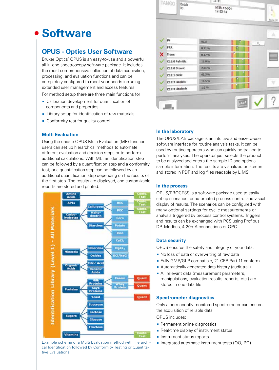## **Software**

### **OPUS - Optics User Software**

Bruker Optics' OPUS is an easy-to-use and a powerful all-in-one spectroscopy software package. It includes the most comprehensive collection of data acquisition, processing, and evaluation functions and can be completely configured to meet your needs including extended user management and access features.

For method setup there are three main functions for

- Calibration development for quantification of components and properties
- **EXTERN** Library setup for identification of raw materials
- **Conformity test for quality control**

### **Multi Evaluation**

Using the unique OPUS Multi Evaluation (ME) function, users can set up hierarchical methods to automate different evaluation and decision steps or to perform additional calculations. With ME, an identification step can be followed by a quantification step and a conformity test; or a quantification step can be followed by an additional quantification step depending on the results of the first step. The results are displayed, and customizable reports are stored and printed.



Example scheme of a Multi Evaluation method with Hierarchi **Integrated automatic instrument tests (OQ, PQ)** cal Identification followed by Conformity Testing or Quantitative Evaluations.

| IV              | 82.5      | II<br>Π<br>Ü, |
|-----------------|-----------|---------------|
| FFA             | 0.7196    | Ι             |
| <b>Trans</b>    | 0.1796    |               |
| C16:0 Palmitic  | 13,0%     |               |
| C18:0 Stearic   | 2.31%     | Ι             |
| C18:1 Oleic     | 65.3 %    | I             |
| C18:2 Linoleic  | 10.5%     | I             |
| C18:3 Linolenic | $1.0 - 5$ | I<br>I        |

-11:11

6788-12-004

 $12.55.34$ 

#### **In the laboratory**

TANGO

Batch

**ID** 

The OPUS/LAB package is an intuitive and easy-to-use software interface for routine analysis tasks. It can be used by routine operators who can quickly be trained to perform analyses. The operator just selects the product to be analyzed and enters the sample ID and optional sample information. The results are visualized on screen and stored in PDF and log files readable by LIMS.

### **In the process**

OPUS/PROCESS is a software package used to easily set up scenarios for automated process control and visual display of results. The scenarios can be configured with many optional settings for cyclic measurements or analysis triggered by process control systems. Triggers and results can be exchanged with PCS using Profibus DP, Modbus, 4-20mA connections or OPC.

### **Data security**

OPUS ensures the safety and integrity of your data.

- No loss of data or overwriting of raw data
- **Fully GMP/GLP compatible, 21 CFR Part 11 conform**
- **Automatically generated data history (audit trail)**
- All relevant data (measurement parameters, manipulations, evaluation results, reports, etc.) are stored in one data file

### **Spectrometer diagnostics**

Only a permanently monitored spectrometer can ensure the acquisition of reliable data.

OPUS includes:

- **Permanent online diagnostics**
- **Real-time display of instrument status**
- **Instrument status reports**
-